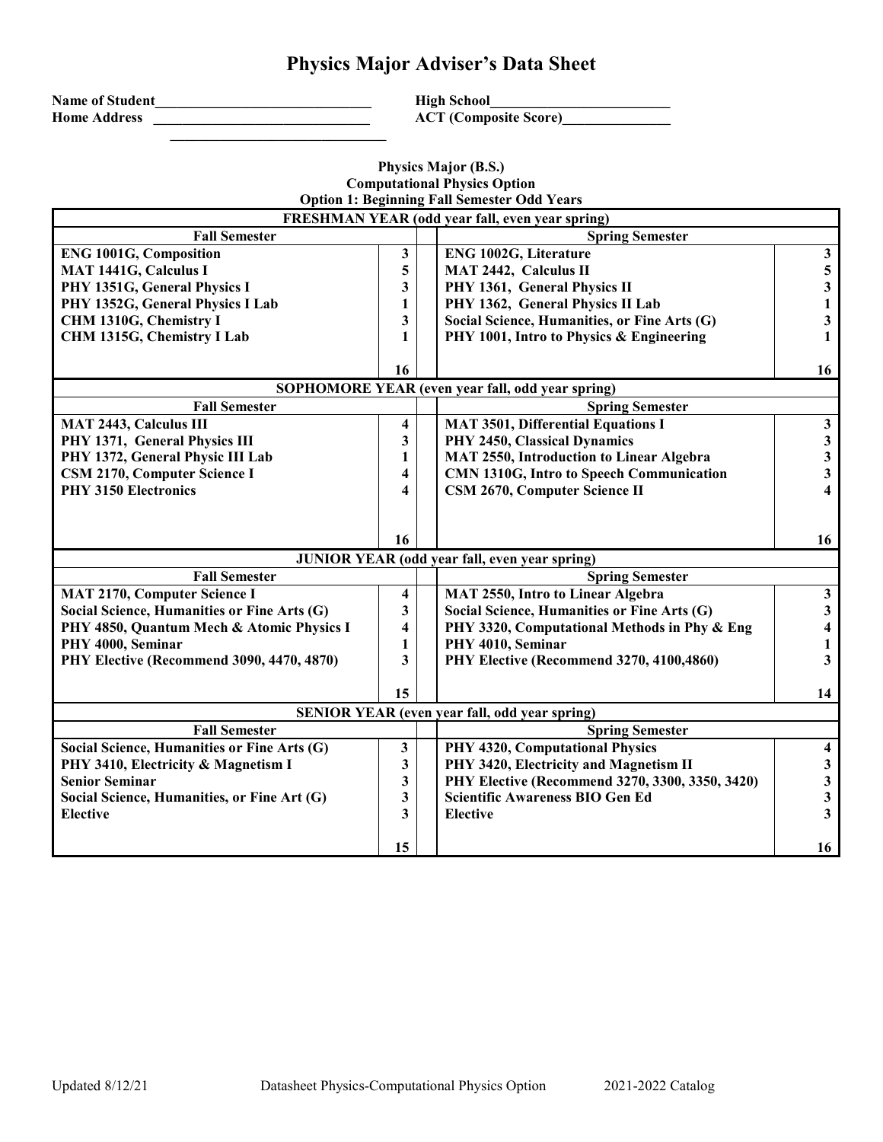## **Physics Major Adviser's Data Sheet**

| <b>Name of Student</b> |  |
|------------------------|--|
| <b>Home Address</b>    |  |

 **\_\_\_\_\_\_\_\_\_\_\_\_\_\_\_\_\_\_\_\_\_\_\_\_\_\_\_\_\_\_**

**High School\_**  $ACT (Composite Score)$ 

## **Physics Major (B.S.) Computational Physics Option Option 1: Beginning Fall Semester Odd Years**

| <b>FRESHMAN YEAR (odd year fall, even year spring)</b> |    |  |                                                      |                         |
|--------------------------------------------------------|----|--|------------------------------------------------------|-------------------------|
| <b>Fall Semester</b>                                   |    |  | <b>Spring Semester</b>                               |                         |
| <b>ENG 1001G, Composition</b>                          | 3  |  | ENG 1002G, Literature                                | $\mathbf{3}$            |
| <b>MAT 1441G, Calculus I</b>                           | 5  |  | <b>MAT 2442, Calculus II</b>                         | $\mathbf 5$             |
| PHY 1351G, General Physics I                           | 3  |  | PHY 1361, General Physics II                         | $\mathbf{3}$            |
| PHY 1352G, General Physics I Lab                       | 1  |  | PHY 1362, General Physics II Lab                     | $\mathbf{1}$            |
| CHM 1310G, Chemistry I                                 | 3  |  | Social Science, Humanities, or Fine Arts (G)         | $\mathbf{3}$            |
| CHM 1315G, Chemistry I Lab                             | 1  |  | PHY 1001, Intro to Physics & Engineering             | $\mathbf{1}$            |
|                                                        |    |  |                                                      |                         |
|                                                        | 16 |  |                                                      | 16                      |
|                                                        |    |  | SOPHOMORE YEAR (even year fall, odd year spring)     |                         |
| <b>Fall Semester</b>                                   |    |  | <b>Spring Semester</b>                               |                         |
| <b>MAT 2443, Calculus III</b>                          | 4  |  | <b>MAT 3501, Differential Equations I</b>            | $\mathbf{3}$            |
| PHY 1371, General Physics III                          | 3  |  | PHY 2450, Classical Dynamics                         | $\mathbf{3}$            |
| PHY 1372, General Physic III Lab                       | 1  |  | <b>MAT 2550, Introduction to Linear Algebra</b>      | $\mathbf{3}$            |
| CSM 2170, Computer Science I                           | 4  |  | CMN 1310G, Intro to Speech Communication             | $\mathbf{3}$            |
| <b>PHY 3150 Electronics</b>                            | 4  |  | CSM 2670, Computer Science II                        | $\overline{\mathbf{4}}$ |
|                                                        |    |  |                                                      |                         |
|                                                        |    |  |                                                      |                         |
|                                                        | 16 |  |                                                      | 16                      |
| <b>JUNIOR YEAR (odd year fall, even year spring)</b>   |    |  |                                                      |                         |
| <b>Fall Semester</b>                                   |    |  | <b>Spring Semester</b>                               |                         |
| <b>MAT 2170, Computer Science I</b>                    | 4  |  | MAT 2550, Intro to Linear Algebra                    | $\mathbf{3}$            |
| Social Science, Humanities or Fine Arts (G)            | 3  |  | Social Science, Humanities or Fine Arts (G)          | $\mathbf{3}$            |
| PHY 4850, Quantum Mech & Atomic Physics I              | 4  |  | PHY 3320, Computational Methods in Phy & Eng         | $\boldsymbol{4}$        |
| PHY 4000, Seminar                                      | 1  |  | PHY 4010, Seminar                                    | $\mathbf{1}$            |
| PHY Elective (Recommend 3090, 4470, 4870)              | 3  |  | PHY Elective (Recommend 3270, 4100,4860)             | $\mathbf{3}$            |
|                                                        |    |  |                                                      |                         |
|                                                        | 15 |  |                                                      | 14                      |
|                                                        |    |  | <b>SENIOR YEAR (even year fall, odd year spring)</b> |                         |
| <b>Fall Semester</b>                                   |    |  | <b>Spring Semester</b>                               |                         |
| Social Science, Humanities or Fine Arts (G)            | 3  |  | PHY 4320, Computational Physics                      | $\overline{\mathbf{4}}$ |
| PHY 3410, Electricity & Magnetism I                    | 3  |  | PHY 3420, Electricity and Magnetism II               | $\mathbf{3}$            |
| <b>Senior Seminar</b>                                  | 3  |  | PHY Elective (Recommend 3270, 3300, 3350, 3420)      | $\mathbf{3}$            |
| Social Science, Humanities, or Fine Art (G)            | 3  |  | <b>Scientific Awareness BIO Gen Ed</b>               | $\mathbf{3}$            |
| <b>Elective</b>                                        | 3  |  | <b>Elective</b>                                      | $\mathbf{3}$            |
|                                                        |    |  |                                                      |                         |
|                                                        | 15 |  |                                                      | 16                      |